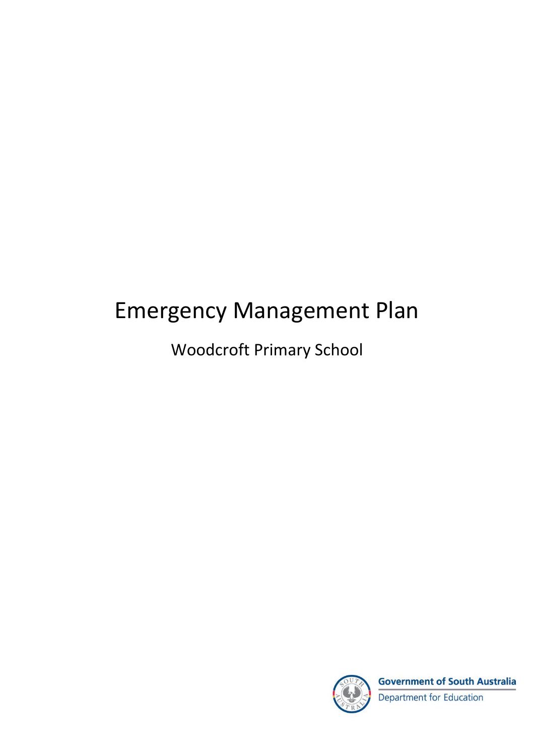# Emergency Management Plan

Woodcroft Primary School



**Government of South Australia** Department for Education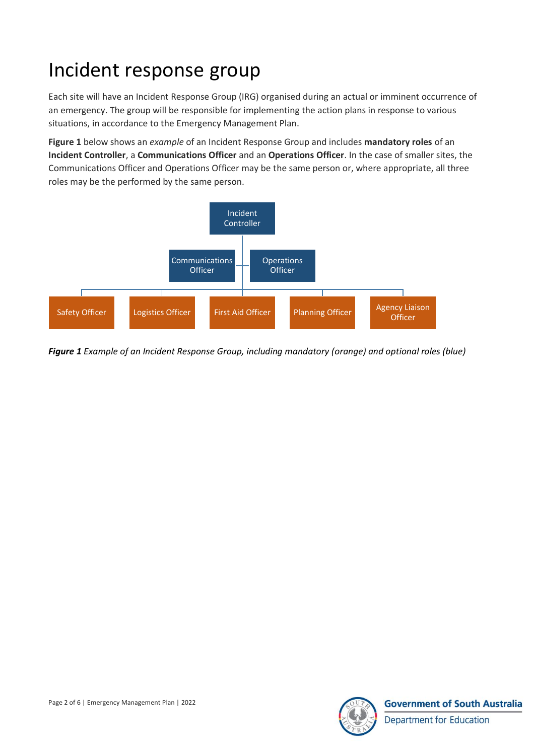## Incident response group

Each site will have an Incident Response Group (IRG) organised during an actual or imminent occurrence of an emergency. The group will be responsible for implementing the action plans in response to various situations, in accordance to the Emergency Management Plan.

**Figure 1** below shows an *example* of an Incident Response Group and includes **mandatory roles** of an **Incident Controller**, a **Communications Officer** and an **Operations Officer**. In the case of smaller sites, the Communications Officer and Operations Officer may be the same person or, where appropriate, all three roles may be the performed by the same person.



*Figure 1 Example of an Incident Response Group, including mandatory (orange) and optional roles (blue)*

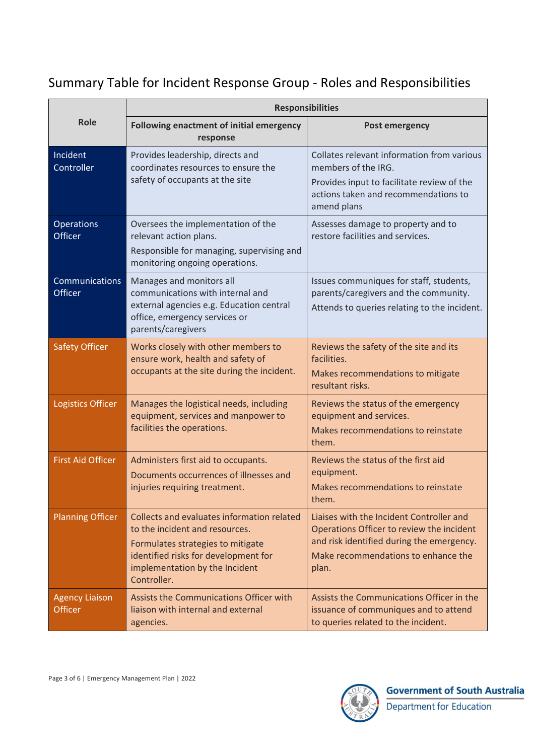#### Summary Table for Incident Response Group - Roles and Responsibilities

|                                         | <b>Responsibilities</b>                                                                                                                                                                                    |                                                                                                                                                                                    |  |
|-----------------------------------------|------------------------------------------------------------------------------------------------------------------------------------------------------------------------------------------------------------|------------------------------------------------------------------------------------------------------------------------------------------------------------------------------------|--|
| <b>Role</b>                             | <b>Following enactment of initial emergency</b><br>response                                                                                                                                                | <b>Post emergency</b>                                                                                                                                                              |  |
| Incident<br>Controller                  | Provides leadership, directs and<br>coordinates resources to ensure the<br>safety of occupants at the site                                                                                                 | Collates relevant information from various<br>members of the IRG.<br>Provides input to facilitate review of the<br>actions taken and recommendations to<br>amend plans             |  |
| Operations<br>Officer                   | Oversees the implementation of the<br>relevant action plans.<br>Responsible for managing, supervising and<br>monitoring ongoing operations.                                                                | Assesses damage to property and to<br>restore facilities and services.                                                                                                             |  |
| Communications<br>Officer               | Manages and monitors all<br>communications with internal and<br>external agencies e.g. Education central<br>office, emergency services or<br>parents/caregivers                                            | Issues communiques for staff, students,<br>parents/caregivers and the community.<br>Attends to queries relating to the incident.                                                   |  |
| <b>Safety Officer</b>                   | Works closely with other members to<br>ensure work, health and safety of<br>occupants at the site during the incident.                                                                                     | Reviews the safety of the site and its<br>facilities.<br>Makes recommendations to mitigate<br>resultant risks.                                                                     |  |
| <b>Logistics Officer</b>                | Manages the logistical needs, including<br>equipment, services and manpower to<br>facilities the operations.                                                                                               | Reviews the status of the emergency<br>equipment and services.<br>Makes recommendations to reinstate<br>them.                                                                      |  |
| <b>First Aid Officer</b>                | Administers first aid to occupants.<br>Documents occurrences of illnesses and<br>injuries requiring treatment.                                                                                             | Reviews the status of the first aid<br>equipment.<br>Makes recommendations to reinstate<br>them.                                                                                   |  |
| <b>Planning Officer</b>                 | Collects and evaluates information related<br>to the incident and resources.<br>Formulates strategies to mitigate<br>identified risks for development for<br>implementation by the Incident<br>Controller. | Liaises with the Incident Controller and<br>Operations Officer to review the incident<br>and risk identified during the emergency.<br>Make recommendations to enhance the<br>plan. |  |
| <b>Agency Liaison</b><br><b>Officer</b> | Assists the Communications Officer with<br>liaison with internal and external<br>agencies.                                                                                                                 | Assists the Communications Officer in the<br>issuance of communiques and to attend<br>to queries related to the incident.                                                          |  |

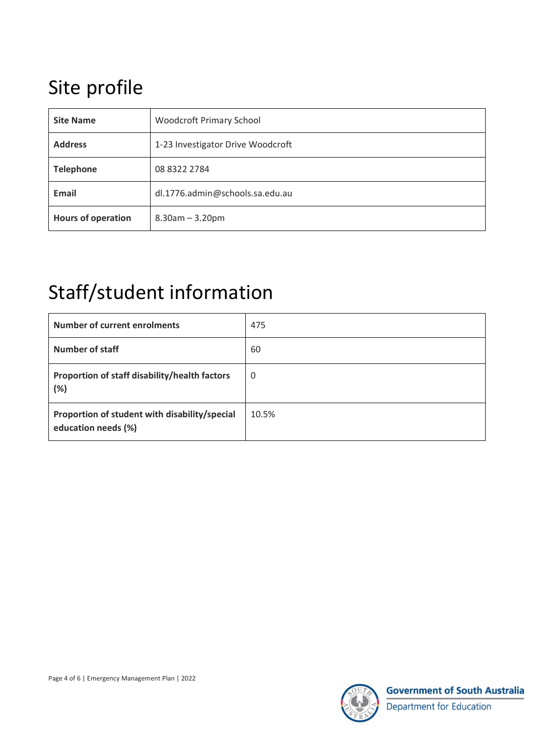## Site profile

| <b>Site Name</b>          | <b>Woodcroft Primary School</b>   |
|---------------------------|-----------------------------------|
| <b>Address</b>            | 1-23 Investigator Drive Woodcroft |
| <b>Telephone</b>          | 08 8322 2784                      |
| Email                     | dl.1776.admin@schools.sa.edu.au   |
| <b>Hours of operation</b> | $8.30$ am $- 3.20$ pm             |

### Staff/student information

| <b>Number of current enrolments</b>                                  | 475   |
|----------------------------------------------------------------------|-------|
| <b>Number of staff</b>                                               | 60    |
| Proportion of staff disability/health factors<br>(%)                 | 0     |
| Proportion of student with disability/special<br>education needs (%) | 10.5% |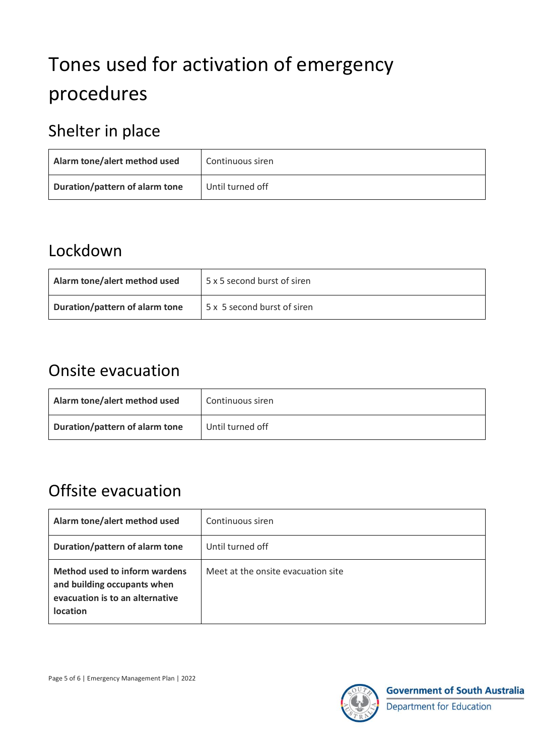# Tones used for activation of emergency procedures

### Shelter in place

| Alarm tone/alert method used   | Continuous siren |
|--------------------------------|------------------|
| Duration/pattern of alarm tone | Until turned off |

#### Lockdown

| Alarm tone/alert method used   | 5 x 5 second burst of siren |
|--------------------------------|-----------------------------|
| Duration/pattern of alarm tone | 5 x 5 second burst of siren |

#### Onsite evacuation

| Alarm tone/alert method used   | Continuous siren |
|--------------------------------|------------------|
| Duration/pattern of alarm tone | Until turned off |

### Offsite evacuation

| Alarm tone/alert method used                                                                                       | Continuous siren                   |
|--------------------------------------------------------------------------------------------------------------------|------------------------------------|
| Duration/pattern of alarm tone                                                                                     | Until turned off                   |
| Method used to inform wardens<br>and building occupants when<br>evacuation is to an alternative<br><b>location</b> | Meet at the onsite evacuation site |